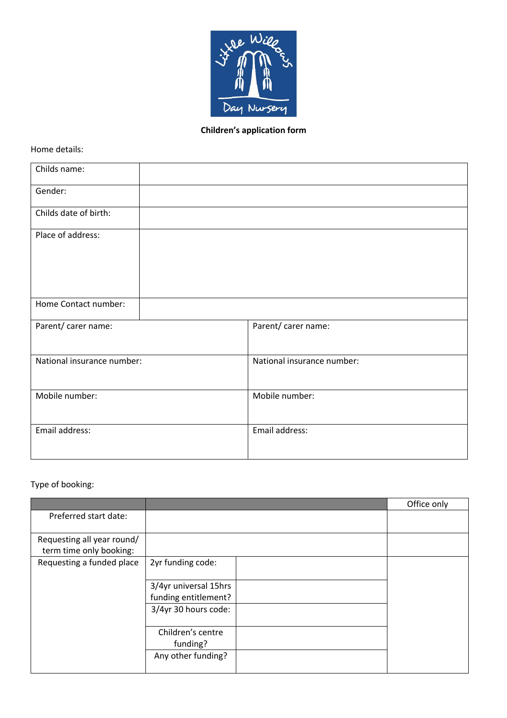

# **Children's application form**

Home details:

| Childs name:               |                            |
|----------------------------|----------------------------|
| Gender:                    |                            |
| Childs date of birth:      |                            |
| Place of address:          |                            |
| Home Contact number:       |                            |
| Parent/ carer name:        | Parent/ carer name:        |
| National insurance number: | National insurance number: |
| Mobile number:             | Mobile number:             |
| Email address:             | Email address:             |

# Type of booking:

|                                                       |                       | Office only |
|-------------------------------------------------------|-----------------------|-------------|
| Preferred start date:                                 |                       |             |
|                                                       |                       |             |
| Requesting all year round/<br>term time only booking: |                       |             |
|                                                       |                       |             |
| Requesting a funded place                             | 2yr funding code:     |             |
|                                                       | 3/4yr universal 15hrs |             |
|                                                       | funding entitlement?  |             |
|                                                       | 3/4yr 30 hours code:  |             |
|                                                       |                       |             |
|                                                       | Children's centre     |             |
|                                                       | funding?              |             |
|                                                       | Any other funding?    |             |
|                                                       |                       |             |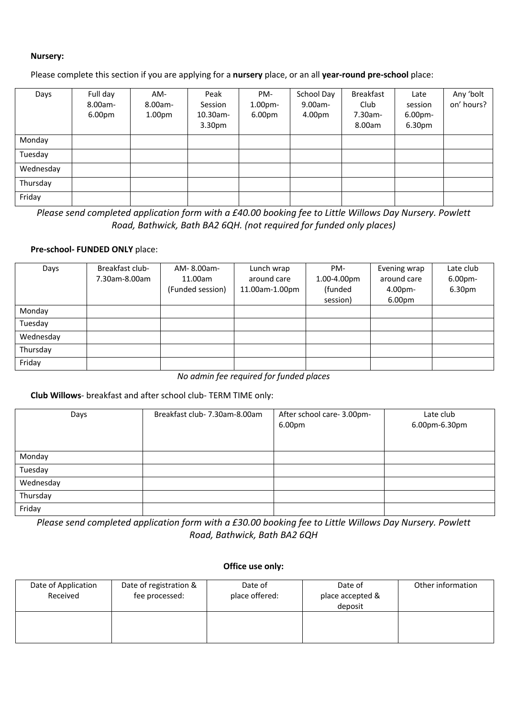#### **Nursery:**

Please complete this section if you are applying for a **nursery** place, or an all **year-round pre-school** place:

| Days      | Full day<br>8.00am-<br>6.00pm | AM-<br>8.00am-<br>1.00 <sub>pm</sub> | Peak<br>Session<br>10.30am-<br>3.30 <sub>pm</sub> | PM-<br>1.00 <sub>pm</sub><br>6.00pm | School Day<br>9.00am-<br>4.00pm | <b>Breakfast</b><br>Club<br>7.30am-<br>8.00am | Late<br>session<br>6.00pm-<br>6.30pm | Any 'bolt<br>on' hours? |
|-----------|-------------------------------|--------------------------------------|---------------------------------------------------|-------------------------------------|---------------------------------|-----------------------------------------------|--------------------------------------|-------------------------|
| Monday    |                               |                                      |                                                   |                                     |                                 |                                               |                                      |                         |
| Tuesday   |                               |                                      |                                                   |                                     |                                 |                                               |                                      |                         |
| Wednesday |                               |                                      |                                                   |                                     |                                 |                                               |                                      |                         |
| Thursday  |                               |                                      |                                                   |                                     |                                 |                                               |                                      |                         |
| Friday    |                               |                                      |                                                   |                                     |                                 |                                               |                                      |                         |

*Please send completed application form with a £40.00 booking fee to Little Willows Day Nursery. Powlett Road, Bathwick, Bath BA2 6QH. (not required for funded only places)*

#### **Pre-school- FUNDED ONLY** place:

| Days      | Breakfast club- | AM-8.00am-       | Lunch wrap     | PM-         | Evening wrap       | Late club |
|-----------|-----------------|------------------|----------------|-------------|--------------------|-----------|
|           | 7.30am-8.00am   | 11.00am          | around care    | 1.00-4.00pm | around care        | 6.00pm-   |
|           |                 | (Funded session) | 11.00am-1.00pm | (funded     | 4.00 <sub>pm</sub> | 6.30pm    |
|           |                 |                  |                | session)    | 6.00pm             |           |
| Monday    |                 |                  |                |             |                    |           |
| Tuesday   |                 |                  |                |             |                    |           |
| Wednesday |                 |                  |                |             |                    |           |
| Thursday  |                 |                  |                |             |                    |           |
| Friday    |                 |                  |                |             |                    |           |

*No admin fee required for funded places*

### **Club Willows**- breakfast and after school club- TERM TIME only:

| Days      | Breakfast club- 7.30am-8.00am | After school care- 3.00pm-<br>6.00pm | Late club<br>6.00pm-6.30pm |
|-----------|-------------------------------|--------------------------------------|----------------------------|
| Monday    |                               |                                      |                            |
| Tuesday   |                               |                                      |                            |
| Wednesday |                               |                                      |                            |
| Thursday  |                               |                                      |                            |
| Friday    |                               |                                      |                            |

*Please send completed application form with a £30.00 booking fee to Little Willows Day Nursery. Powlett Road, Bathwick, Bath BA2 6QH*

#### **Office use only:**

| Date of Application<br>Received | Date of registration &<br>fee processed: | Date of<br>place offered: | Date of<br>place accepted &<br>deposit | Other information |
|---------------------------------|------------------------------------------|---------------------------|----------------------------------------|-------------------|
|                                 |                                          |                           |                                        |                   |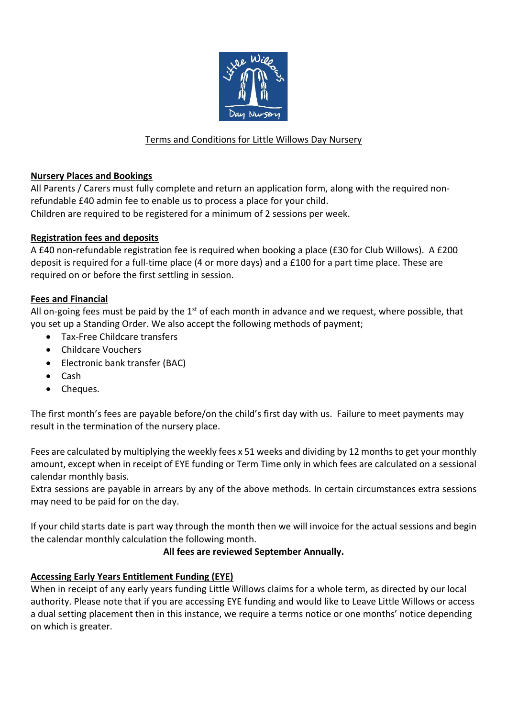

# Terms and Conditions for Little Willows Day Nursery

## **Nursery Places and Bookings**

All Parents / Carers must fully complete and return an application form, along with the required nonrefundable £40 admin fee to enable us to process a place for your child. Children are required to be registered for a minimum of 2 sessions per week.

## **Registration fees and deposits**

A £40 non-refundable registration fee is required when booking a place (£30 for Club Willows). A £200 deposit is required for a full-time place (4 or more days) and a £100 for a part time place. These are required on or before the first settling in session.

### **Fees and Financial**

All on-going fees must be paid by the  $1<sup>st</sup>$  of each month in advance and we request, where possible, that you set up a Standing Order. We also accept the following methods of payment;

- Tax-Free Childcare transfers
- Childcare Vouchers
- Electronic bank transfer (BAC)
- Cash
- Cheques.

The first month's fees are payable before/on the child's first day with us. Failure to meet payments may result in the termination of the nursery place.

Fees are calculated by multiplying the weekly fees x 51 weeks and dividing by 12 months to get your monthly amount, except when in receipt of EYE funding or Term Time only in which fees are calculated on a sessional calendar monthly basis.

Extra sessions are payable in arrears by any of the above methods. In certain circumstances extra sessions may need to be paid for on the day.

If your child starts date is part way through the month then we will invoice for the actual sessions and begin the calendar monthly calculation the following month.

## **All fees are reviewed September Annually.**

## **Accessing Early Years Entitlement Funding (EYE)**

When in receipt of any early years funding Little Willows claims for a whole term, as directed by our local authority. Please note that if you are accessing EYE funding and would like to Leave Little Willows or access a dual setting placement then in this instance, we require a terms notice or one months' notice depending on which is greater.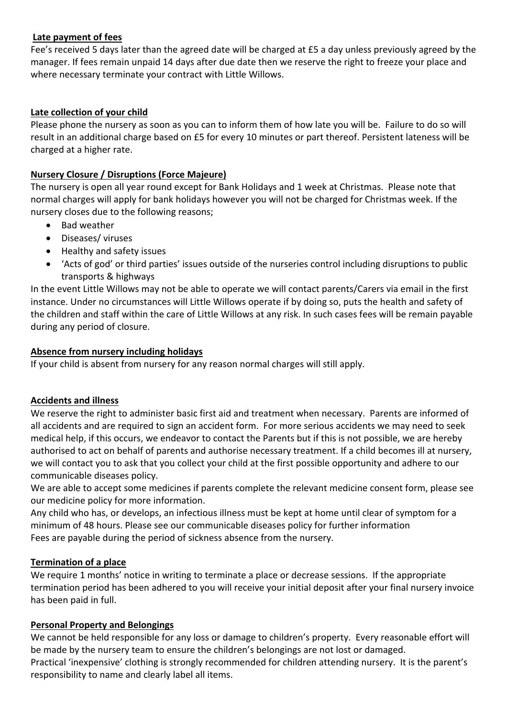## **Late payment of fees**

Fee's received 5 days later than the agreed date will be charged at £5 a day unless previously agreed by the manager. If fees remain unpaid 14 days after due date then we reserve the right to freeze your place and where necessary terminate your contract with Little Willows.

# **Late collection of your child**

Please phone the nursery as soon as you can to inform them of how late you will be. Failure to do so will result in an additional charge based on £5 for every 10 minutes or part thereof. Persistent lateness will be charged at a higher rate.

# **Nursery Closure / Disruptions (Force Majeure)**

The nursery is open all year round except for Bank Holidays and 1 week at Christmas. Please note that normal charges will apply for bank holidays however you will not be charged for Christmas week. If the nursery closes due to the following reasons;

- Bad weather
- Diseases/ viruses
- Healthy and safety issues
- 'Acts of god' or third parties' issues outside of the nurseries control including disruptions to public transports & highways

In the event Little Willows may not be able to operate we will contact parents/Carers via email in the first instance. Under no circumstances will Little Willows operate if by doing so, puts the health and safety of the children and staff within the care of Little Willows at any risk. In such cases fees will be remain payable during any period of closure.

## **Absence from nursery including holidays**

If your child is absent from nursery for any reason normal charges will still apply.

## **Accidents and illness**

We reserve the right to administer basic first aid and treatment when necessary. Parents are informed of all accidents and are required to sign an accident form. For more serious accidents we may need to seek medical help, if this occurs, we endeavor to contact the Parents but if this is not possible, we are hereby authorised to act on behalf of parents and authorise necessary treatment. If a child becomes ill at nursery, we will contact you to ask that you collect your child at the first possible opportunity and adhere to our communicable diseases policy.

We are able to accept some medicines if parents complete the relevant medicine consent form, please see our medicine policy for more information.

Any child who has, or develops, an infectious illness must be kept at home until clear of symptom for a minimum of 48 hours. Please see our communicable diseases policy for further information Fees are payable during the period of sickness absence from the nursery.

## **Termination of a place**

We require 1 months' notice in writing to terminate a place or decrease sessions. If the appropriate termination period has been adhered to you will receive your initial deposit after your final nursery invoice has been paid in full.

## **Personal Property and Belongings**

We cannot be held responsible for any loss or damage to children's property. Every reasonable effort will be made by the nursery team to ensure the children's belongings are not lost or damaged. Practical 'inexpensive' clothing is strongly recommended for children attending nursery. It is the parent's responsibility to name and clearly label all items.